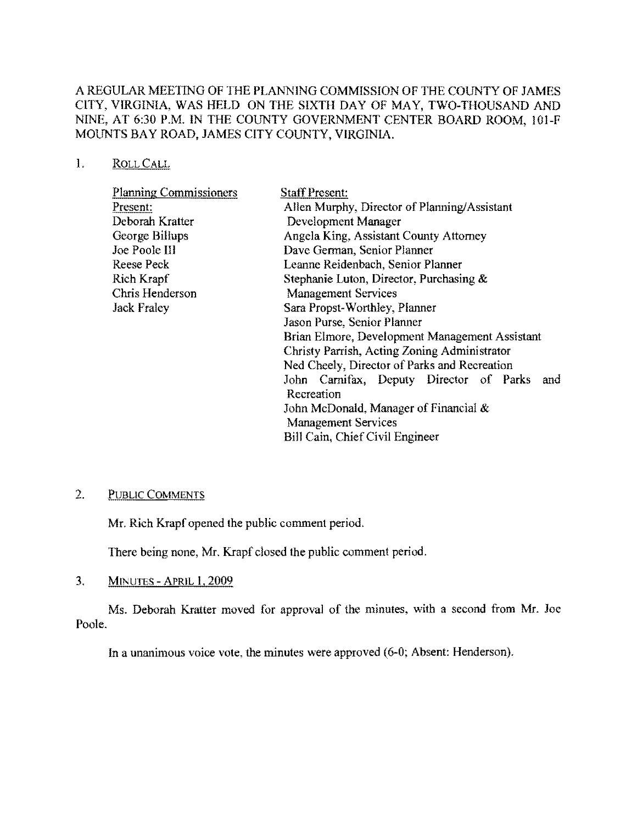# A REGULAR MEETING OF THE PLAN'NING COMMISSION OF THE COUNTY OF JAMES CITY, VIRGINIA, WAS HELD ON THE SIXTH DAY OF MAY, TWO-THOUSAND AND NINE, AT 6:30 P.M. IN THE COUNTY GOVERNMENT CENTER BOARD ROOM, 101-F MOUNTS BAY ROAD, JAMES CITY COUNTY, VIRGINIA.

### I. ROLLCALL

| <b>Planning Commissioners</b> | <b>Staff Present:</b>                          |
|-------------------------------|------------------------------------------------|
| Present:                      | Allen Murphy, Director of Planning/Assistant   |
| Deborah Kratter               | Development Manager                            |
| George Billups                | Angela King, Assistant County Attorney         |
| <b>Joe Poole III</b>          | Dave German, Senior Planner                    |
| <b>Reese Peck</b>             | Leanne Reidenbach, Senior Planner              |
| Rich Krapf                    | Stephanie Luton, Director, Purchasing &        |
| Chris Henderson               | <b>Management Services</b>                     |
| <b>Jack Fraley</b>            | Sara Propst-Worthley, Planner                  |
|                               | Jason Purse, Senior Planner                    |
|                               | Brian Elmore, Development Management Assistant |
|                               | Christy Parrish, Acting Zoning Administrator   |
|                               | Ned Cheely, Director of Parks and Recreation   |
|                               | John Carnifax, Deputy Director of Parks<br>and |
|                               | Recreation                                     |
|                               | John McDonald, Manager of Financial $\&$       |
|                               | <b>Management Services</b>                     |
|                               | Bill Cain, Chief Civil Engineer                |

# 2. PUBLIC COMMENTS

Mr. Rich Krapf opened the public comment period.

There being none, Mr. Krapf closed the public comment period.

3. MINUTES - APRIL 1, 2009

Ms. Deborah Kratter moved for approval of the minutes, with a second from Mr. Joe Poole.

In a unanimous voice vote, the minutes were approved (6-0; Absent: Henderson).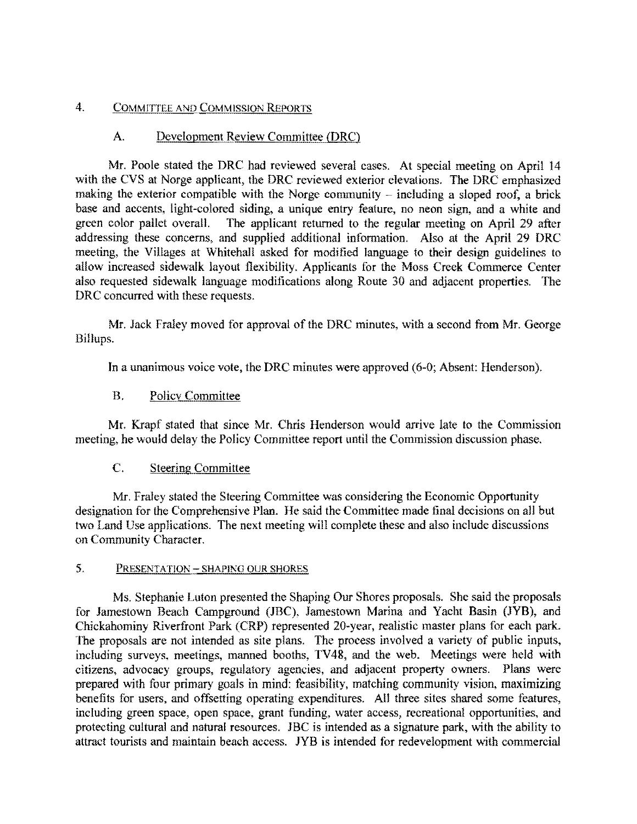## 4. COMMITTEE AND COMMISSION REPORTS

# A. Development Review Committee (DRC)

Mr. Poole stated the DRC had reviewed several cases. At special meeting on April 14 with the CVS at Norge applicant, the DRC reviewed exterior elevations. The DRC emphasized making the exterior compatible with the Norge community  $-$  including a sloped roof, a brick base and accents, light-colored siding, a unique entry feature, no neon sign, and a white and green color pallet overall. The applicant returned to the regular meeting on April 29 after addressing these concerns, and supplied additional information. Also at the April 29 DRC meeting, the Villages at Whitehall asked for modified language to their design guidelines to allow increased sidewalk layout flexibility. Applicants for the Moss Creek Commerce Center also requested sidewalk language modifications along Route 30 and adjacent properties. 'Ine DRC concurred with these requests.

Mr. Jack Fraley moved for approval of the DRC minutes, with a second from Mr. George Billups.

In a unanimous voice vote, the DRC minutes were approved (6-0; Absent: Henderson).

# B. Policy Committee

Mr. Krapf stated that sinee Mr. Chris Henderson would arrive late to the Commission meeting, he would delay the Policy Committee report until the Commission discussion phase.

## C. Steering Committee

Mr. Fraley stated the Steering Committee was considering the Economic Opportunity designation for the Comprehensive Plan. He said the Committee made final decisions on all but two Land Use applications. The next meeting will complete these and also include discussions on Community Character.

# 5. PRESENTATION - SHAPING OUR SHORES

Ms. Stephanie Luton presented the Shaping Our Shores proposals. She said the proposals for Jamestown Beach Campground (lBC), Jamestown Marina and Yacht Basin (JYB), and Chickahominy Riverfront Park (CRP) represented 20-year, realistic master plans for each park. The proposals are not intended as site plans. The process involved a variety of public inputs, including surveys, meetings, manned booths, TV48, and the web. Meetings were held with citizens, advocacy groups, regulatory agencies, and adjacent property owners. Plans were prepared with four primary goals in mind: feasibility, matching community vision, maximizing benefits for users, and offsetting operating expenditures. All three sites shared some features, including green space, open space, grant funding, water access, recreational opportunities, and protecting cultural and natural resources. JBC is intended as a signature park, with the ability to attract tourists and maintain beach access. JYB is intended for redevelopment with commercial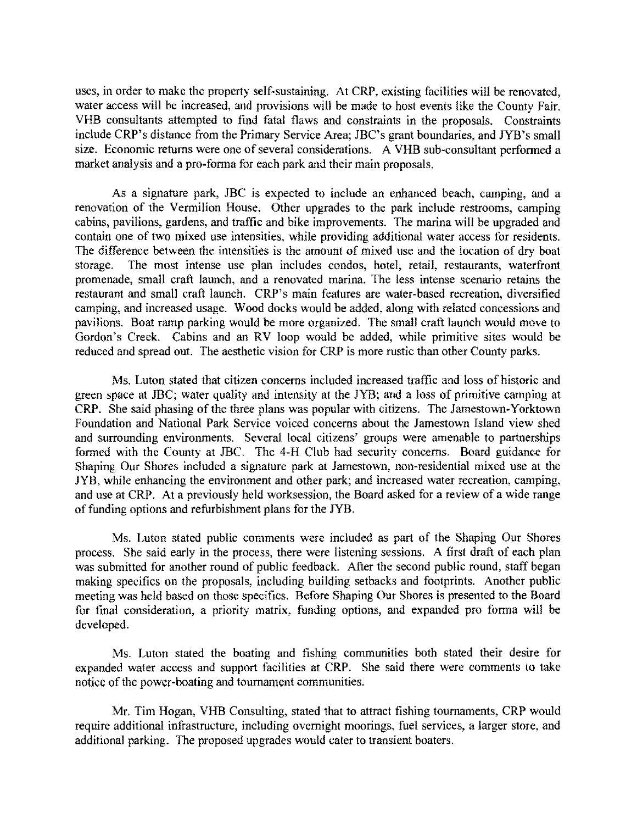uses, in order to make the property self-sustaining. At CRP, existing facilities will be renovated, water access will be increased, and provisions will be made to host events like the County Fair. VHB consultants attempted to find fatal flaws and constraints in the proposals. Constraints include CRP's distance from the Primary Service Area; JBC's grant boundaries, and JYB's small size. Economic returns were one of several considerations. A VHB sub-consultant performed a market analysis and a pro-forma for each park and their main proposals.

As a signature park, JBC is expected to include an enhanced beach, camping, and a renovation of the Vermilion House. Other upgrades to the park include restrooms, camping cabins, pavilions, gardens, and traffic and bike improvements. The marina will be upgraded and contain one of two mixed use intensities, while providing additional water access for residents. The difference between the intensities is the amount of mixed use and the location of dry boat storage. The most intense use plan includes condos, hotel, retail, restaurants, waterfront promenade, small craft launch, and a renovated marina. The less intense scenario retains the restaurant and small craft launch. CRP's main features are water-based recreation, diversified camping, and increased usage. Wood docks would be added, along with related concessions and pavilions. Boat ramp parking would be more organized. The small craft launch would move to Gordon's Creek. Cabins and an RV loop would be added, while primitive sites would be reduced and spread out. The aesthetic vision for CRP is more rustic than other County parks.

Ms. Luton stated that citizen concerns included increased traffic and loss of historic and green space at JBC; water quality and intensity at the JYB; and a loss of primitive camping at CRP. She said phasing of the three plans was popular with citizens. The Jamestown-Yorktown Foundation and National Park Service voiced concerns about the Jamestown Island view shed and surrounding environments. Several local citizens' groups were amenable to partnerships formed with the County at JBC. The 4-H Club had security concerns. Board guidance for Shaping Our Shores included a signature park at Jamestown, non-residential mixed use at the JYB, while enhancing the environment and other park; and increased water recreation, camping, and use at CRP. At a previously held worksession, the Board asked for a review of a wide range of funding options and refurbishment plans for the JYB.

Ms. Luton stated public comments were included as part of the Shaping Our Shores process. She said early in the process, there were listening sessions. A first draft of each plan was submitted for another round of public feedback. After the second public round, staff began making specifics on the proposals, including building setbacks and footprints. Another public meeting was held based on those specifics. Before Shaping Our Shores is presented to the Board for final consideration, a priority matrix, funding options, and expanded pro forma will be developed.

Ms. Luton stated the boating and tishing communities both stated their desire for expanded water access and support facilities at CRP. She said there were comments to take notice of the power-boating and tournament communities.

Mr. Tim Hogan, VHB Consulting, stated that to attract fishing tournaments, CRP would require additional infrastructure, including overnight moorings, fuel services, a larger store, and additional parking. The proposed upgrades would caler to transient boaters.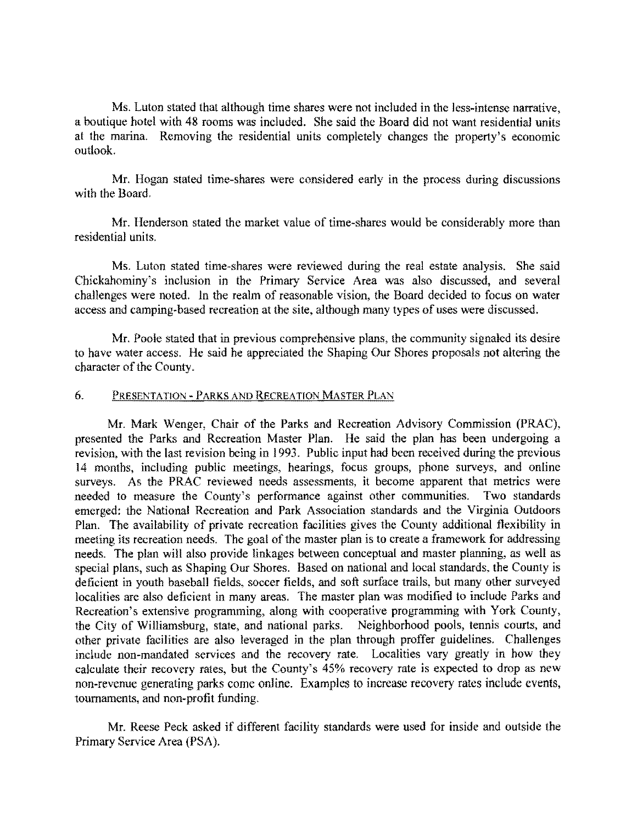Ms. Luton stated that although time shares were not included in the less-intense narrative, a boutique hotel with 48 rooms was included. She said the Board did not want residential units at the marina. Removing the residential units completely changes the property's economic outlook.

Mr. Hogan stated time-shares were considered early in the process during discussions with the Board.

Mr. Henderson stated the market value of time-shares would be considerably more than residential units.

Ms. Luton stated time-shares were reviewed during the real estate analysis. She said Chickahominy's inclusion in the Primary Service Area was also discussed, and several challenges were noted. In the realm of reasonable vision, the Board decided to focus on water access and camping-based recreation at the site, although many types of uses were discussed.

Mr. Poole stated that in previous comprehensive plans, the community signaled its desire to have water access. He said he appreciated the Shaping Our Shores proposals not altering the character of the County.

### 6. PRESENTATION - PARKS AND RECREATION MASTER PLAN

Mr. Mark Wenger, Chair of the Parks and Recreation Advisory Commission (PRAC), presented the Parks and Recreation Master Plan. He said the plan has been undergoing a revision, with the last revision being in 1993. Public input had been received during the previous 14 months, including public meetings, hearings, focus groups, phone surveys, and online surveys. As the PRAC reviewed needs assessments, it become apparent that metrics were needed to measure the County's performance against other communities. Two standards emerged: the National Recreation and Park Association standards and the Virginia Outdoors Plan. The availability of private recreation facilities gives the County additional flexibility in meeting its recreation needs. The goal of the master plan is to create a framework for addressing needs. The plan will also provide linkages between conceptual and master planning, as well as special plans, such as Shaping Our Shores. Based on national and local standards, the County is deficient in youth baseball fields, soccer fields, and soft surface trails, but many other surveyed localities are also deficient in many areas. The master plan was modified to include Parks and Recreation's extensive programming, along with cooperative programming with York County, the City of Williamsburg, state, and national parks. Neighborhood pools, tennis courts, and other private facilities are also leveraged in the plan through proffer guidelines. Challenges include non-mandated services and the recovery rate. Localities vary greatly in how they calculate their recovery rates, but the County's 45% recovery rate is expected to drop as new non-revenue generating parks come online. Examples to increase recovery rates include events, tournaments, and non-profit funding.

Mr. Reese Peck asked if different facility standards were used for inside and outside the Primary Service Area (PSA).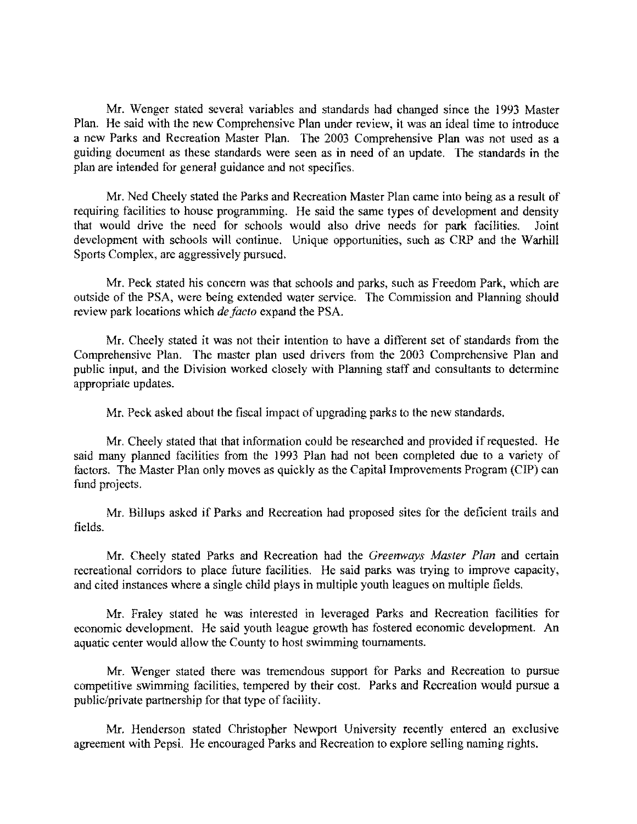Mr. Wenger stated several variables and standards had changed since the 1993 Master Plan. He said with the new Comprehensive Plan under review, it was an ideal time to introduee a new Parks and Recreation Master Plan. The 2003 Comprehensive Plan was not used as a guiding document as these standards were seen as in need of an update. The standards in the plan are intended for general guidance and not specifics.

Mr. Ned Cheely stated the Parks and Recreation Master Plan came into being as a result of requiring facilities to house programming. He said the same types of development and density that would drive the need for schools would also drive needs for park facilities. Joint development with schools will continue. Unique opportunities, such as CRP and the Warhill Sports Complex, are aggressively pursued.

Mr. Peck stated his concern was that schools and parks, such as Freedom Park, which are outside of the PSA, were being extended water service. The Commission and Planning should review park loeations which *de facio* expand the PSA.

Mr. Cheely stated it was not their intention to have a different set of standards from the Comprehensive Plan. The master plan used drivers from the 2003 Comprehensive Plan and public input, and the Division worked closely with Planning staff and consultants to determine appropriate updates.

Mr. Peck asked about the fiscal impact of upgrading parks to the new standards.

Mr. Cheely stated that that information could be researched and provided if requested. He said many planned facilities from the 1993 Plan had not been completed due to a variety of factors. The Master Plan only moves as quickly as the Capital Improvements Program (CIP) can fund projects.

Mr. Billups asked if Parks and Recreation had proposed sites for the deficient trails and fields.

Mr. Cheely stated Parks and Recreation had the *Greenways Masler Plan* and certain recreational corridors to place future facilities. He said parks was trying to improve capacity, and citcd instances where a single child plays in multiple youth leagues on multiple fields.

Mr. Fraley stated he was interested in leveraged Parks and Reereation facilities for economic development. He said youth league growth has fostered economic development. An aquatic center would allow the County to host swimming tournaments.

Mr. Wenger stated there was tremendous support for Parks and Recreation to pursue competitive swimming facilities, tempered by their cost. Parks and Recreation would pursue a public/private partnership for that type of facility.

Mr. Henderson stated Christopher Newport University recently entered an exclusive agreement with Pepsi. He encouraged Parks and Reereation to explore selling naming rights.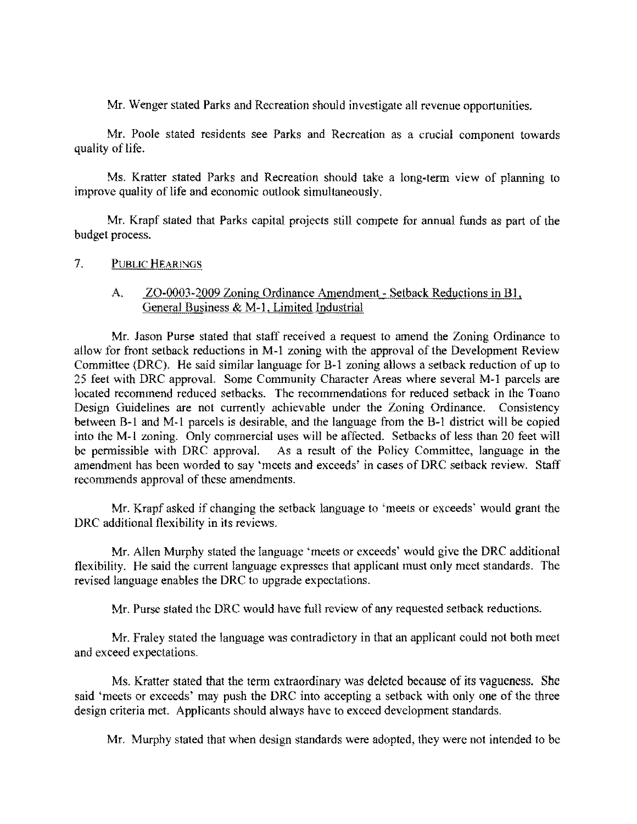Mr. Wenger stated Parks and Recreation should investigate all revenue opportunities.

Mr. Poole stated residents see Parks and Reereation as a crucial component towards quality of life.

Ms. Kratter stated Parks and Recreation should take a long·term view of planning to improve quality of life and economic outlook simultaneously.

Mr. Krapf stated that Parks capital projects still compete for annual funds as part of the budget process.

7. PUBLIC HEARINGS

## A. ZO-0003-2009 Zoning Ordinance Amendment - Setback Reductions in B1, General Business & M-1, Limited Industrial

Mr. Jason Purse stated that staff received a request to amend the Zoning Ordinance to allow for front setback reductions in M·l zoning with the approval of the Development Review Committee (DRC). He said similar language for B·l zoning allows a setback reduction of up to 25 feet with DRC approval. Some Community Character Areas where several M-I parcels are located recommend reduced setbacks. The recommendations for reduced setback in the Toano Design Guidelines are not currently achievable under the Zoning Ordinance. Consistency between B-1 and M-1 parcels is desirable, and the language from the B-1 district will be copied into the M-1 zoning. Only commercial uses will be affected. Setbacks of less than 20 feet will be permissible with DRC approval. As a result of the Policy Committee, language in the be As a result of the Policy Committee, language in the amendment has been worded to say 'meets and exceeds' in cases of DRC setback review. Staff recommends approval of these amendments.

Mr. Krapf asked if changing the setback language to 'meets or exceeds' would grant the DRC additional flexibility in its reviews.

Mr. Allen Murphy stated the language 'meets or exceeds' would give the DRC additional flexibility. He said the current language expresses that applicant must only meet standards. The revised language enables the DRC to upgrade expectations.

Mr. Purse stated the DRC would have full review of any requested setback reductions.

Mr. Fraley stated the language was contradictory in that an applicant could not both meet and exceed expectations.

Ms. Kratter stated that the term extraordinary was deleted because of its vagueness, She said 'meets or exceeds' may push the DRC into accepting a setback with only one of the three design criteria met. Applicants should always have to exceed development standards.

Mr. Murphy stated that when design standards were adopted, they were not intended to be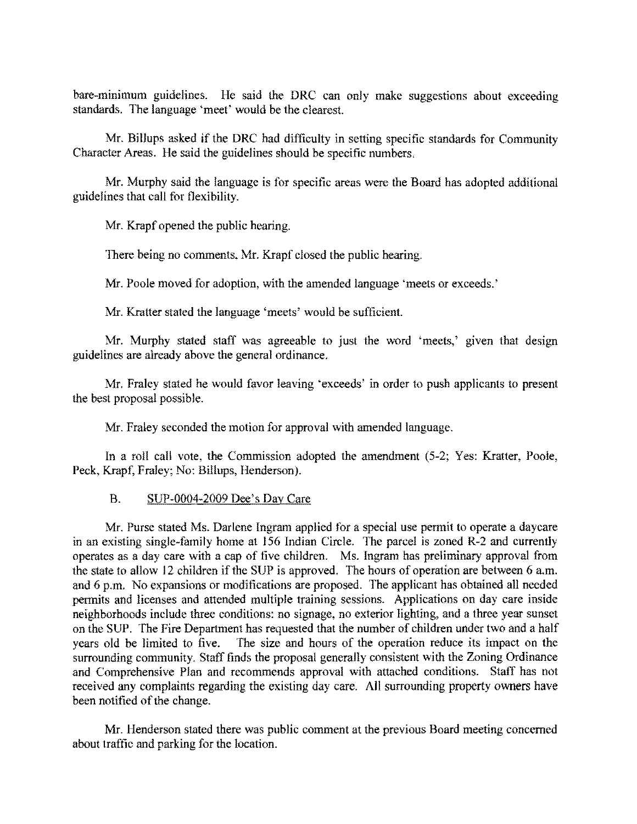bare-minimum guidelines. He said the DRC can onlv make suggestions about exceeding standards. The language 'meet' would be the clearest.

Mr. Billups asked if the DRC had difficulty in setting specific standards for Community Character Areas. He said the guidelines should be specific numbers.

Mr. Murphy said the language is for specific areas were the Board has adopted additional guidelines that call for flexibility.

Mr. Krapf opened the public hearing.

There being no comments. Mr. Krapf closed the public hearing.

Mr. Poole moved for adoption, with the amended language 'meets or exceeds.'

Mr. Kratter stated the language 'meets' would be sufficient.

Mr. Murphy stated staff was agreeable to just the word 'meets,' given that design guidelines are already above the general ordinance.

Mr. Fraley stated he would favor leaving 'exceeds' in order to push applicants to present the best proposal possible.

Mr. Fraley seconded the motion for approval with amended languagc.

In a roll call vote, the Commission adopted the amendment (5-2; Yes: Kratter, Poole, Peck, Krapf, Fraley; No: Billups, Henderson).

#### B. SUP-0004-2009 Dee's Day Care

Mr. Purse stated Ms. Darlene Ingram applied for a special use permit to operate a daycare in an existing single-family home at 156 Indian Circle. The parcel is zoned R-2 and currently operates as a day care with a cap of five children. Ms. Ingram has preliminary approval from the state to allow 12 children if the SUP is approved. The hours of operation are between 6 a.m. and 6 p.m. No expansions or modifications are proposed. The applicant has obtained all needed permits and licenses and attended multiple training sessions. Applications on day care inside neighborhoods include three conditions: no signage, no exterior lighting, and a three year sunset on the SUP. The Fire Department has requested that the number of children under two and a half years old be limited to five. The size and hours of the operation reduce its impact on the surrounding community. Staff finds the proposal generally consistent with the Zoning Ordinance and Comprehensive Plan and recommends approval with attached conditions. Staff has not received any complaints regarding the existing day care. All surrounding property owners have been notified of the change.

Mr. Henderson stated there was public comment at the previous Board meeting concerned about traffic and parking for the location.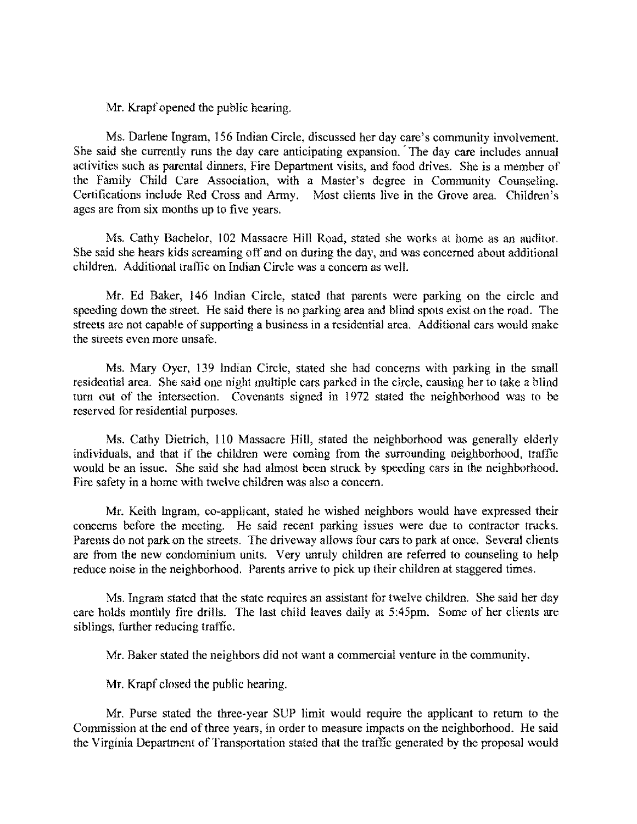Mr. Krapf opened the public hearing.

Ms. Darlene Ingram, 156 Indian Circle. discussed her day care's community involvement. She said she currently runs the day care anticipating expansion. 'The day care includes annual activities such as parental dinners, Fire Department visits, and food drives. She is a member of the Family Child Care Association, with a Master's degree in Community Counseling. Certifications include Red Cross and Army. Most clients live in the Grove area. Children's ages are from six months up to five years.

Ms. Cathy Bachelor, 102 Massacre Hill Road, stated she works at home as an auditor. She said she hears kids screaming off and on during the day, and was concerned about additional children. Additional traffic on Indian Cirele was a concern as well.

Mr. Ed Baker, 146 Indian Circle, stated that parents were parking on the circle and speeding down the street. He said there is no parking area and blind spots exist on the road. The streets are not capable of supporting a business in a residential area. Additional cars would make the streets even more unsafe.

Ms. Mary Oyer, 139 Indian Circle, stated she had concerns with parking in the small residential area. She said one night multiple cars parked in the circle, causing her to take a blind tum out of the intersection. Covenants signed in 1972 stated the neighborhood was to be reserved for residential purposes.

Ms. Cathy Dietrich, I/O Massacre Hill, stated the neighborhood was generally elderly individuals, and that if the children were coming from the surrcunding neighborhood, traffic would be an issue. She said she had almost been struck by speeding cars in the neighborhood. Fire safety in a home with twelve ehildren was also a concern.

Mr. Keith Ingram, co-applicant, stated he wished neighbors would have expressed their concerns before the meeting. He said recent parking issues were due to contractor trucks. Parents do not park on the streets. The driveway allows four cars to park at once. Several clients are from the new condominium units. Very unruly children are referred to counseling to help reduce noise in the neighborhood. Parents arrive to pick up their children at staggered times.

Ms. Ingram stated that the state requires an assistant for twelve children. She said her day care holds monthly fire drills. The last child leaves daily at 5 :45pm. Some of her clients are siblings, further reducing traffic.

Mr. Baker stated the neighbors did not want a commereial venture in the community.

Mr. Krapf closed the public hearing.

Mr. Purse stated the three-year SUP limit would require the applicant to return to the Commission at the end of three years, in order to measure impacts on the neighborhood. He said the Virginia Department of Transportation stated that the traffic generated by the proposal would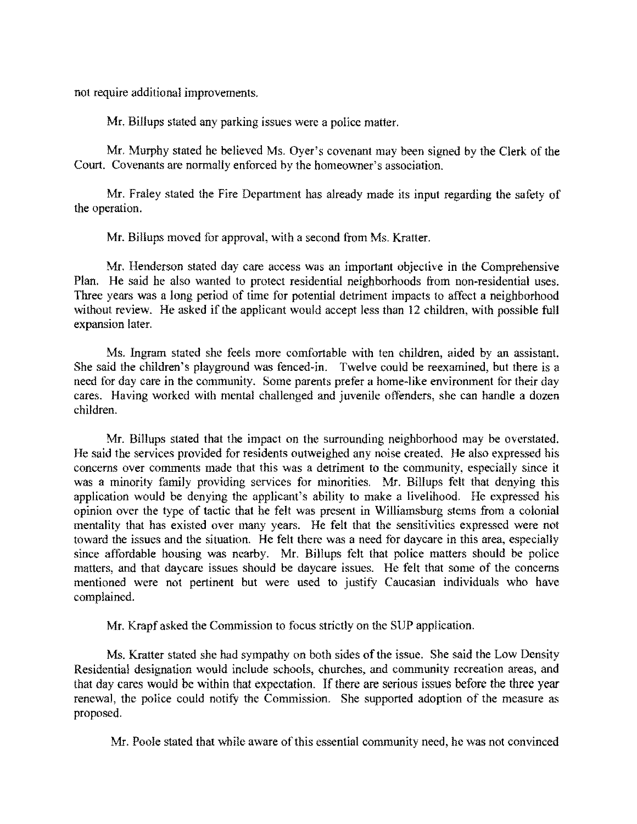not require additional improvements.

Mr. Billups stated any parking issues were a police matter.

Mr. Murphy stated he believed Ms. Oyer's covenant may been signed by the Clerk of the Court. Covenants are normally enforced by the homeowner's association.

Mr. Fraley stated the Fire Department has already made its input regarding the safety of the operation.

Mr. Billups moved for approval, with a second from Ms. Kratter.

Mr. Henderson stated day care access was an important objective in the Comprehensive Plan. He said he also wanted to protect residential neighborhoods from non-residential uses. Three years was a long period of time for potential detriment impacts to affect a neighborhood without review. He asked if the applicant would accept less than 12 children, with possible full expansion later.

Ms. Ingram stated she feels more comfortable with ten children, aided by an assistant. She said the children's playground was fenced-in. Twelve could be reexamined, but there is a need for day care in the community. Some parents prefer a home-like environment for their day cares. Having worked with mental challenged and juvenile offenders, she can handle a dozen children.

Mr. Billups slated that the impact on the surrounding neighborhood may be overstated. He said the services provided for residents outweighed any noise created. He also expressed his concerns over comments made that this was a detriment to the community, especially since it was a minority family providing services for minorities, Mr. Billups felt that denying this application would be denying the applicant's ability to make a livelihood, He expressed his opinion over the type of tactic that he felt was present in Williamsburg stems from a colonial mentality that has existed over many years. He felt that the sensitivities expressed were not toward the issues and the situation. He felt there was a need for daycare in this area, especially since affordable housing was nearby. Mr. Billups felt that police matters should be police matters, and that daycare issues should be daycare issues. He felt that some of the concerns mentioned were not pertinent but were used to justify Caucasian individuals who have complained.

Mr. Krapf asked the Commission to focus strictly on the SUP application,

Ms. Kratter stated she had sympathy on both sides of the issue. She said the Low Density Residential designation would include schools, churches, and community recreation areas, and that day cares would be within that expectation. If there are serious issues before the three year renewal, the police could notify the Commission. She supported adoption of the measure as proposed,

Mr. Poole stated that while aware of this essential community need, he was not convinced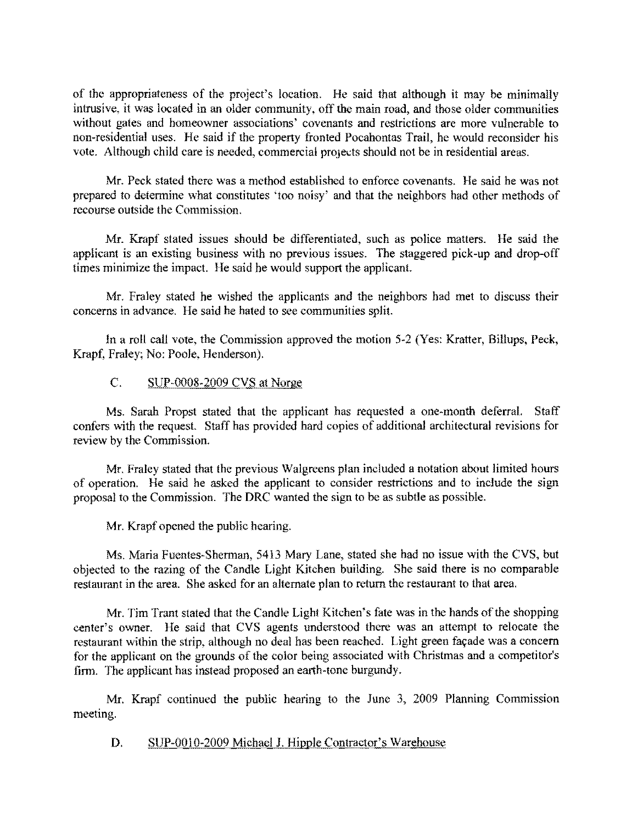of the appropriateness of the project's location. He said that although it may be minimally intrusive, it was located in an older community, off the main road, and those older communities without gates and homeowner associations' covenants and restrictions are more vulnerable to non-residential uses. He said if the property fronted Pocahontas Trail, he would reconsider his vote. Although child care is needed, commercial projects should not be in residential areas.

Mr. Peck stated there was a method established to enforce covenants. He said he was not prepared to detennine what constitutes 'too noisy' and that the neighbors had other methods of recourse outside the Commission.

Mr. Krapf stated issues should be differentiated, such as police matters. He said the applicant is an existing business with no previous issues. The staggered pick-up and drop-off times minimize the impact. He said he would support the applicant.

Mr. Fraley stated he wished the applicants and the neighbors had met to discuss their concerns in advance. He said he hated to sec communities split.

In a roll call vote, the Commission approved the motion 5-2 (Yes: Kratter, Billups, Peck, Krapf, Fraley; No: Poole, Henderson).

### C. SUP-0008-2009 CVS at Norge

Ms. Sarah Propst stated that the applicant has requested a one-month deferral. Staff confers with the request. Staff has provided hard copies of additional architectural revisions for review by the Commission.

Mr. Fraley stated that the previous Walgreens plan included a notation about limited hours of operation. He said he asked the applicant to consider restrictions and to include the sign proposal to the Commission. The DRC wanted the sign to be as subtle as possible.

Mr. Krapf opened the public hearing.

Ms. Maria Fuentes-Sherman, 5413 Mary Lane, stated she had no issue with the CVS, but objected to the razing of the Candle Light Kitchen building. She said there is no comparable restaurant in the area. She asked for an alternate plan to return the restaurant to thai area.

Mr. Tim Trant stated that the Candle Light Kitchen's fate was in the hands of the shopping center's owner. He said that CVS agents understood there was an attempt to relocate the restaurant within the strip, although no deal has been reached. Light green façade was a concern for the applicant on the grounds of the color being associated with Christmas and a competitor's firm. The applicant has instead proposed an earth-tone burgundy.

Mr. Krapf continued the public hearing to the June 3, 2009 Planning Commission meeting.

D. SUP-0010-2009 Michael J. Hipple Contractor's Warehouse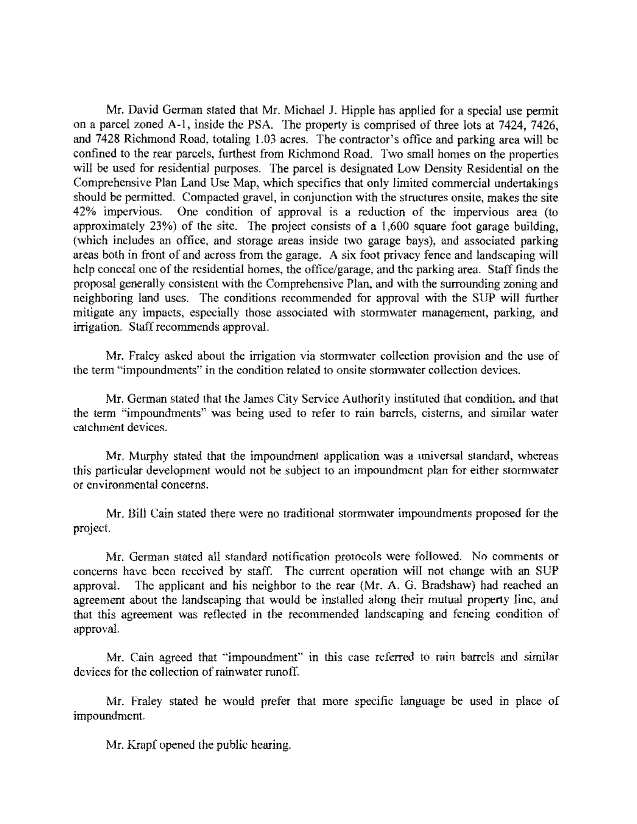Mr. David German stated that Mr. Michael J. Hipple has applied for a special use permit on a parcel zoned A-I, inside the PSA. The property is comprised of three lots at 7424, 7426, and 7428 Richmond Road, totaling 1.03 acres. The contractor's office and parking area will be confined to the rear parcels, furthest from Richmond Road. Two small homes on the properties will be used for residential purposes. The parcel is designated Low Density Residential on the Comprehensive Plan Land Use Map, which specifies that only limited commercial undertakings should be pennitted. Compacted gravel, in conjunction with the structures onsite, makes the site 42% impervious. One condition of approval is a reduction of the impervious area (to approximately 23%) of the site. The project consists of a 1,600 squarc foot garage building, (which includes an office, and storage areas inside two garage bays), and associated parking areas both in front of and across from the garage. A six foot privacy fence and landscaping will help conceal one of the residential homes, the office/garage, and the parking area. Staff finds the proposal generally consistent with the Comprehensive Plan, and with the surrounding zoning and neighboring land uses. The conditions recommended for approval with the SUP will further mitigate any impacts, especially those associated with stonnwater management, parking, and irrigation. Staff recommends approvaL

Mr. Fraley asked about the irrigation via stonnwater collection provision and the use of the tenn "impoundments" in the condition related to onsite stonnwater collection devices.

Mr. Gennan stated that the James City Service Authority instituted that condition, and that the tenn "impoundments" was being used to refer to rain barrels, cisterns, and similar water catchment devices.

Mr. Murphy stated that the impoundment application was a universal standard, whereas this particular development would not be subject to an impoundment plan for either stonnwater or environmental concerns.

Mr. Bill Cain stated there were no traditional stonnwater impoundments proposed for the project.

Mr. Gennan stated all standard notification protocols were followed. No comments or concerns have been received by staff. The current operation \\ill not change with an SUP approval. The applicant and his neighbor to the rear (Mr. A. G. Bradshaw) had reached an agreement about the landscaping that would be installed along their mutual property line, and that this agreement was reflected in the recommended landscaping and fencing condition of approval.

Mr. Cain agreed that "impoundment" in this case referred to rain barrels and similar devices for the collection of rainwater runoff.

Mr. Fraley stated he would prefer that more specific language be used in place of impoundment.

Mr. Krapf opened the public hearing.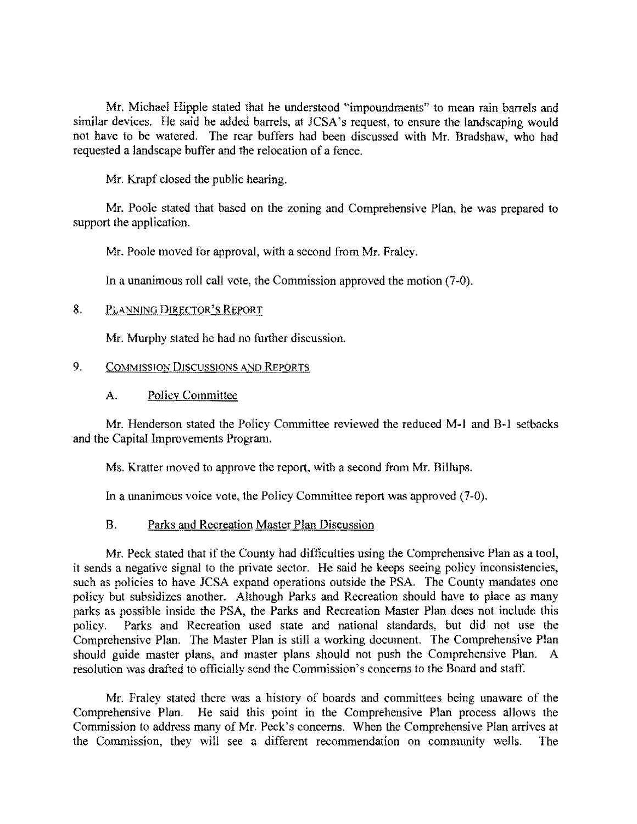Mr. Michael Hipple stated that he understood "impoundments" to mean rain barrels and similar devices. He said he added barrels, at JCSA's request, to ensure the landscaping would not have to be watered. The rear buffers had been discussed with Mr. Bradshaw, who had requested a landscape buffer and the relocation of a fence.

Mr. Krapf closed the public hearing.

Mr. Poole stated that based on the zoning and Comprehensive Plan. he was prepared to support the application.

Mr. Poole moved for approval, with a second from Mr. Fraley.

In a unanimous roll call vote, the Commission approved the motion (7-0).

### 8. PLANNING DIRECTOR'S REPORT

Mr. Murphy stated he had no further discussion.

### 9. COMMISSION DISCUSSIONS AND REPORTS

### A. Policy Committee

Mr. Henderson stated the Policy Committee reviewed the reduced M-1 and B-1 setbacks and the Capital Improvements Program.

Ms. Kratter moved to approve the report, with a second from Mr. Billups.

In a unanimous voice vote, the Policy Committee report was approved (7-0).

#### B. Parks and Recreation Master Plan Discussion

Mr. Peek stated that if the County had difficulties using the Comprehensive Plan as a tool, it sends a negative signal to the private sector. He said he keeps seeing policy inconsistencies, such as policies to have JCSA expand operations outside the PSA. The County mandates one policy but subsidizes another. Although Parks and Recreation should have to place as many parks as possible inside the PSA, the Parks and Recreation Master Plan does not include this policy. Parks and Recreation used state and national standards, but did not use the Comprehensive Plan. The Master Plan is still a working document. The Comprehensive Plan should guide master plans. and master plans should not push the Comprehensive Plan. A resolution was drafted to officially send the Commission's concerns to the Board and staff.

Mr. Fraley stated there was a history of boards and committees being unaware of the Comprehensive Plan. He said this point in the Comprehensive Plan process allows the Commission to address many of Mr. Peck's concerns. When the Comprehensive Plan arrives at the Commission, they will see a different recommendation on community wells. The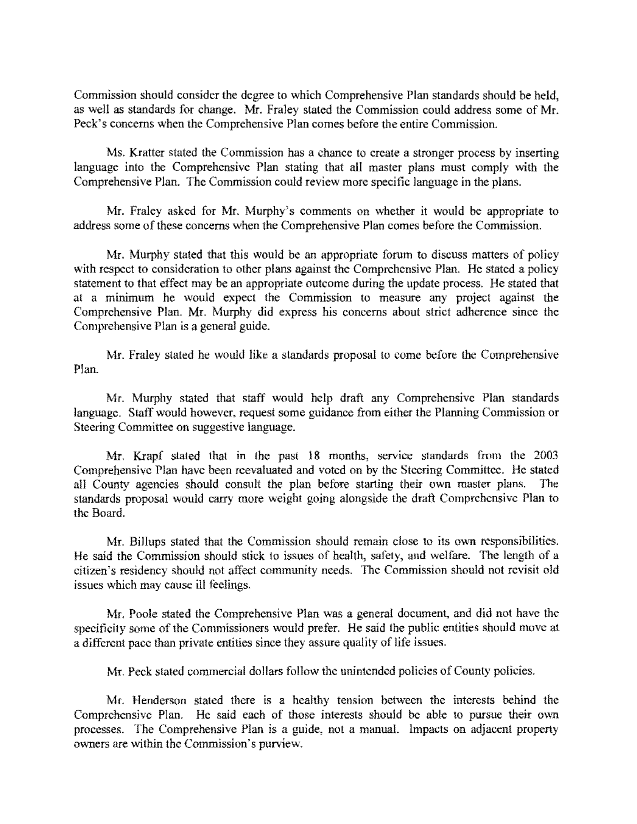Commission should consider the degree to which Comprehensive Plan standards should be held, as well as standards for change. Mr. Fraley stated the Commission could address some of Mr. Peck's concerns when the Comprehensive Plan comes before the entire Commission.

Ms. Kratter stated the Commission has a chance to create a stronger process by inserting language into the Comprehensive Plan stating that all master plans must comply with the Comprehensive Plan. The Commission could review more specific language in the plans.

Mr. Fraley asked for Mr. Murphy's comments on whether it would be appropriate to address some of these concerns when the Comprehensive Plan comes before the Commission.

Mr. Murphy stated that this would be an appropriate forum to discuss matters of policy with respect to consideration to other plans against the Comprehensive Plan. He stated a policy statement to that effect may be an appropriate outcome during the update process. He stated that at a minimum he would expect the Commission to measure any project against the Comprehensive Plan. Mr. Murphy did express his concerns about strict adherence sinee the Comprehensive Plan is a general guide.

Mr. Fraley stated he would like a standards proposal to come before the Comprehensive Plan.

Mr. Murphy stated that staff would help draft any Comprehensive Plan standards language. Staff would however, request some guidance from either the Planning Commission or Steering Committee on suggestive language.

Mr. Krapf stated that in the past 18 months, service standards from the 2003 Comprehensive Plan have been reevaluated and voted on by the Steering Committee. He stated all County agencies should consult the plan before starting their own master plans. The standards proposal would carry more weight going alongside the draft Comprehensive Plan to the Board.

Mr. Billups stated that the Commission should remain close to its own responsibilities. He said the Commission should stick to issues of health, safety, and welfare. The length of a citizen's residency should not affect community needs. The Commission should not revisit old issues which may cause ill feelings.

Mr. Poole stated the Comprehensive Plan was a general document, and did not have the specificity some of the Commissioners would prefer. He said the public entities should move at a different pace than private entities since they assure quality of life issues.

Mr. Peck stated commercial dollars follow the unintended policies of County policies.

Mr. Henderson stated there is a healthy tension between the interests behind the Comprehensive Plan. He said each of those interests should be able to pursue their own processes. The Comprehensive Plan is a guide, not a manual. Impacts on adjacent property owners are within the Commission's purview.